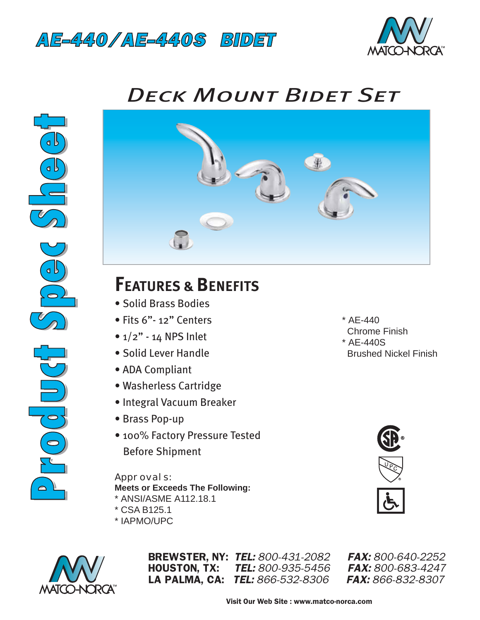



## *Deck Mount Bidet Set*





## **FEATURES & BENEFITS**

- Solid Brass Bodies
- Fits 6"- 12" Centers
- $1/2$ " 14 NPS Inlet
- Solid Lever Handle
- ADA Compliant
- Washerless Cartridge
- Integral Vacuum Breaker
- Brass Pop-up
- 100% Factory Pressure Tested Before Shipment

## *Approvals:*

- **Meets or Exceeds The Following:**
- \* ANSI/ASME A112.18.1
- \* CSA B125.1
- \* IAPMO/UPC



BREWSTER, NY: *TEL: 800-431-2082 FAX: 800-640-2252* HOUSTON, TX: *TEL: 800-935-5456 FAX: 800-683-4247* LA PALMA, CA: *TEL: 866-532-8306 FAX: 866-832-8307*

- $*$  AE-440 Chrome Finish
- \* AE-440S Brushed Nickel Finish

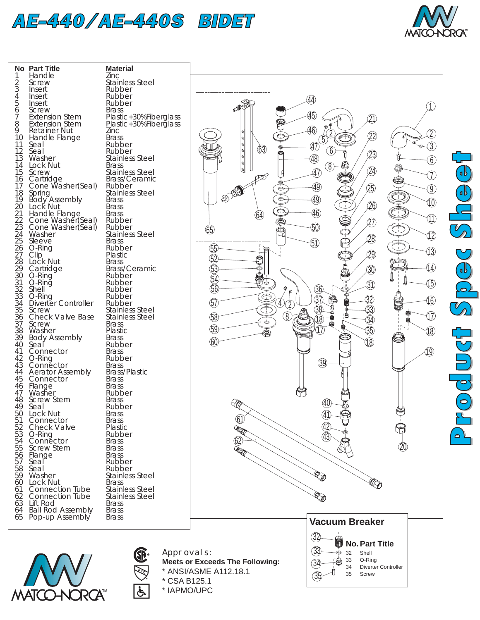



| No<br>123456                                                            | <b>Part Title</b><br>Handle<br>Screw<br><i><u><b>Insert</b></u></i><br>Insert                              | <b>Material</b><br>Zinc<br>Stainless Steel<br>Rubber<br>Rubber                                               |
|-------------------------------------------------------------------------|------------------------------------------------------------------------------------------------------------|--------------------------------------------------------------------------------------------------------------|
| 7<br>8<br>9<br>10 <sup>1</sup>                                          | Insert<br>Screw<br><b>Extension Stem</b><br><b>Extension Stem</b><br><b>Retainer Nut</b><br>Handle Flange  | Rubber<br><b>Brass</b><br>Plastic+30%Fik<br>Plastic+30%Fik<br>Zinc<br><b>Brass</b>                           |
| $\frac{11}{12}$<br>$\frac{13}{13}$<br>$1\overline{4}$<br>15<br>16<br>17 | Seal<br>Seal<br>Washer<br>Lock Nut<br>Screw<br>Cartridge Brass/C<br>Cone Washer(Seal) Rubber               | Rubber<br>Rubber<br><b>Stainless Steel</b><br><b>Brass</b><br><b>Stainless Steel</b><br><b>Brass/Ceramid</b> |
| 18<br>19<br>20                                                          | Spring<br>Body Assembly<br>Lock Nut<br>Handle Flange<br>Cone Washer(Seal)<br>Cone Washer(Seal)             | <b>Stainless Steel</b><br><b>Brass</b><br><b>Brass</b><br><b>Brass</b><br>Rubber<br>Rubber                   |
|                                                                         | Washer<br>Sleeve<br>O-Ring<br>Clip<br>Lock Nut                                                             | <b>Stainless Steel</b><br><b>Brass</b><br>Rubber<br>Plastic<br><b>Brass</b><br>Brass/Ceramio                 |
|                                                                         | Cartridge<br>O-Ring<br>O-Ring<br>Shell<br>O-Ring<br>Diverter Controller<br><b>Screw</b>                    | Rubber<br>Rubber<br>Rubber<br>Rubber<br>Rubber<br>Stainless Steel                                            |
| 40                                                                      | Check Valve Base<br>Screw<br>Washer<br>Body Assembly<br>Seal                                               | <b>Stainless Steel</b><br><b>Brass</b><br>Plastic<br><b>Brass</b><br>Rubber<br>Brass                         |
|                                                                         | 41 Connector<br>42 O-Ring<br>43 Connector<br>44 Aerator Assembly<br>45 Connector<br>46 Flange<br>47 Washer | Rubber<br><b>Brass</b><br><b>Brass/Plastic</b><br><b>Brass</b><br><b>Brass</b>                               |
| 48.<br>49<br>50<br>51<br>52                                             | <b>Screw Stem</b><br>Seal<br>Lock Nut<br>Connector<br><b>Check Valve</b>                                   | Rubber<br>Brass<br>Rubber<br><b>Brass</b><br><b>Brass</b><br>Plastic                                         |
| 53<br>54<br>55<br>56<br>57<br>58                                        | O-Ring<br>Connector<br>Screw Stem<br>Flange<br>Seal<br>Seal                                                | Rubber<br><b>Brass</b><br><b>Brass</b><br>Brass<br>Rubber<br>Rubber                                          |
| 59<br>60<br>61<br>62<br>63<br>64                                        | Washer<br>Lock Nut<br><b>Connection Tube</b><br>Connection Tube<br>Lift Rod<br><b>Ball Rod Assembly</b>    | Stainless Steel<br><b>Brass</b><br>Stainless Steel<br>Stainless Steel<br><b>Brass</b><br><b>Brass</b>        |
| 65                                                                      | Pop-up Assembly                                                                                            | Brass                                                                                                        |

**MATCO-NORCA** 

**Material** Zinc Stainless Steel **Rubber** Rubber **Rubber Brass** Plastic+30%Fiberglass Plastic+30%Fiberglass Zinc **Brass Rubber Rubber Stainless Steel Brass** Stainless Steel Brass/Ceramic **Rubber** Stainless Steel **Brass Brass Brass Rubber Rubber** Stainless Steel **Brass** Rubber Plastic **Brass** Brass/Ceramic Rubber **Rubber Rubber** Rubber **Rubber Brass Plastic Brass Rubber Brass Rubber Brass Brass/Plastic Brass Brass Rubber Brass Rubber Brass Brass** Plastic Rubber **Brass Brass Brass Rubber** Rubber Stainless Steel Brass<sub>.</sub> Stainless Steel Stainless Steel **Brass Brass Brass** 



\* CSA B125.1 \* IAPMO/UPC